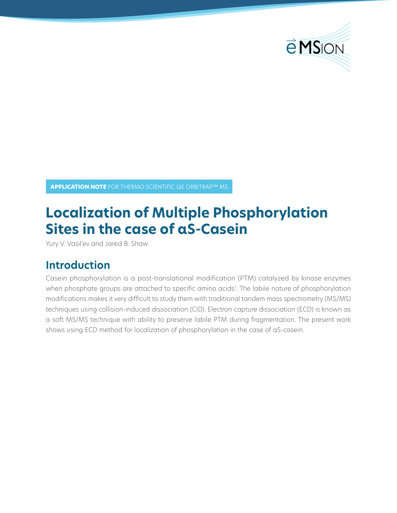

**APPLICATION NOTE** FOR THERMO SCIENTIFIC QE ORBITRAP™ MS

# **Localization of Multiple Phosphorylation Sites in the case of αS-Casein**

Yury V. Vasil'ev and Jared B. Shaw

## **Introduction**

Casein phosphorylation is a post-translational modification (PTM) catalyzed by kinase enzymes when phosphate groups are attached to specific amino acids<sup>1</sup>. The labile nature of phosphorylation modifications makes it very difficult to study them with traditional tandem mass spectrometry (MS/MS) techniques using collision-induced dissociation (CID). Electron capture dissociation (ECD) is known as a soft MS/MS technique with ability to preserve labile PTM during fragmentation. The present work shows using ECD method for localization of phosphorylation in the case of αS-casein.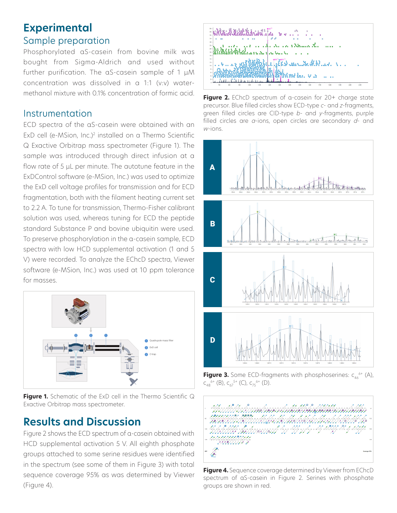### **Experimental** Sample preparation

Phosphorylated αS-casein from bovine milk was bought from Sigma-Aldrich and used without further purification. The αS-casein sample of 1 μM concentration was dissolved in a 1:1 (v:v) watermethanol mixture with 0.1% concentration of formic acid.

#### Instrumentation

ECD spectra of the αS-casein were obtained with an ExD cell (e-MSion, Inc.)2 installed on a Thermo Scientific Q Exactive Orbitrap mass spectrometer (Figure 1). The sample was introduced through direct infusion at a flow rate of 5 μL per minute. The autotune feature in the ExDControl software (e-MSion, Inc.) was used to optimize the ExD cell voltage profiles for transmission and for ECD fragmentation, both with the filament heating current set to 2.2 A. To tune for transmission, Thermo-Fisher calibrant solution was used, whereas tuning for ECD the peptide standard Substance P and bovine ubiquitin were used. To preserve phosphorylation in the α-casein sample, ECD spectra with low HCD supplemental activation (1 and 5 V) were recorded. To analyze the EChcD spectra, Viewer software (e-MSion, Inc.) was used at 10 ppm tolerance for masses.



**Figure 1.** Schematic of the ExD cell in the Thermo Scientific Q Exactive Orbitrap mass spectrometer.

### **Results and Discussion**

Figure 2 shows the ECD spectrum of α-casein obtained with HCD supplemental activation 5 V. All eighth phosphate groups attached to some serine residues were identified in the spectrum (see some of them in Figure 3) with total sequence coverage 95% as was determined by Viewer (Figure 4).



**Figure 2.** EChcD spectrum of α-casein for 20+ charge state precursor. Blue filled circles show ECD-type *c*- and *z*-fragments, green filled circles are CID-type *b*- and *y*-fragments, purple filled circles are *a*-ions, open circles are secondary *d*- and *<sup>w</sup>*-ions.



**Figure 3.** Some ECD-fragments with phosphoserines: c<sub>46</sub>6+ (A),  $C_{48}^{\phantom{4}}^{\phantom{4}}$  (B),  $C_{67}^{\phantom{4}}$  (C),  $C_{75}^{\phantom{4}}^{\phantom{4}}$  (D).



**Figure 4.** Sequence coverage determined by Viewer from EChcD spectrum of αS-casein in Figure 2. Serines with phosphate groups are shown in red.